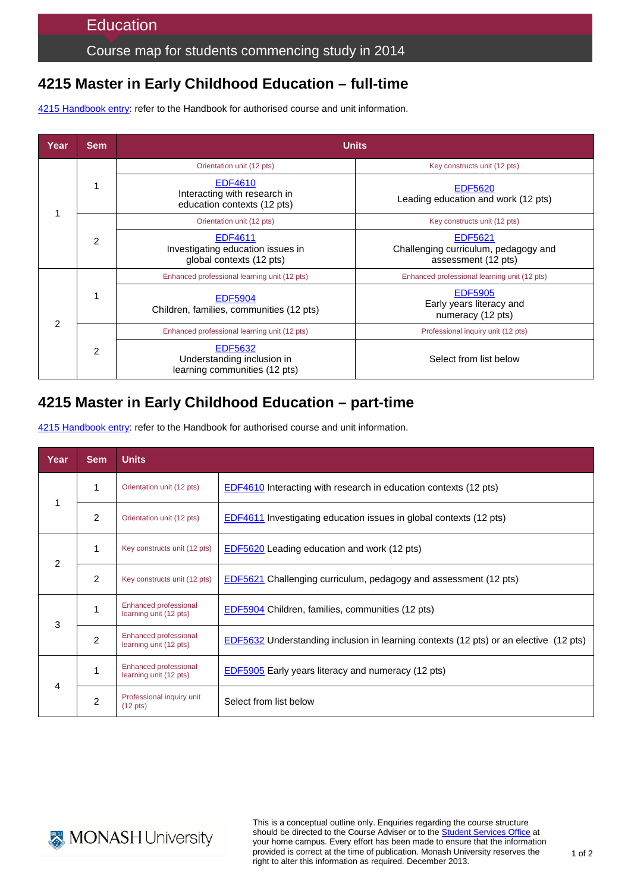Course map for students commencing study in 2014

# **4215 Master in Early Childhood Education – full-time**

4215 [Handbook entry:](http://www.monash.edu.au/pubs/2014handbooks/courses/4215.html) refer to the Handbook for authorised course and unit information.

| Year          | <b>Sem</b> | <b>Units</b>                                                                    |                                                                        |  |
|---------------|------------|---------------------------------------------------------------------------------|------------------------------------------------------------------------|--|
|               |            | Orientation unit (12 pts)                                                       | Key constructs unit (12 pts)                                           |  |
|               |            | <b>EDF4610</b><br>Interacting with research in<br>education contexts (12 pts)   | <b>EDF5620</b><br>Leading education and work (12 pts)                  |  |
|               | 2          | Orientation unit (12 pts)                                                       | Key constructs unit (12 pts)                                           |  |
|               |            | <b>EDF4611</b><br>Investigating education issues in<br>global contexts (12 pts) | EDF5621<br>Challenging curriculum, pedagogy and<br>assessment (12 pts) |  |
| $\mathcal{P}$ |            | Enhanced professional learning unit (12 pts)                                    | Enhanced professional learning unit (12 pts)                           |  |
|               |            | <b>EDF5904</b><br>Children, families, communities (12 pts)                      | <b>EDF5905</b><br>Early years literacy and<br>numeracy (12 pts)        |  |
|               | 2          | Enhanced professional learning unit (12 pts)                                    | Professional inquiry unit (12 pts)                                     |  |
|               |            | <b>EDF5632</b><br>Understanding inclusion in<br>learning communities (12 pts)   | Select from list below                                                 |  |

# **4215 Master in Early Childhood Education – part-time**

4215 [Handbook entry:](http://www.monash.edu.au/pubs/2014handbooks/courses/4215.html) refer to the Handbook for authorised course and unit information.

| Year          | Sem            | <b>Units</b>                                           |                                                                                       |
|---------------|----------------|--------------------------------------------------------|---------------------------------------------------------------------------------------|
| 1             | 1              | Orientation unit (12 pts)                              | EDF4610 Interacting with research in education contexts (12 pts)                      |
|               | $\overline{2}$ | Orientation unit (12 pts)                              | EDF4611 Investigating education issues in global contexts (12 pts)                    |
| $\mathcal{P}$ | 1              | Key constructs unit (12 pts)                           | EDF5620 Leading education and work (12 pts)                                           |
|               | $\overline{2}$ | Key constructs unit (12 pts)                           | EDF5621 Challenging curriculum, pedagogy and assessment (12 pts)                      |
| 3             |                | <b>Enhanced professional</b><br>learning unit (12 pts) | EDF5904 Children, families, communities (12 pts)                                      |
|               | $\overline{2}$ | <b>Enhanced professional</b><br>learning unit (12 pts) | EDF5632 Understanding inclusion in learning contexts (12 pts) or an elective (12 pts) |
| 4             | 1              | <b>Enhanced professional</b><br>learning unit (12 pts) | <b>EDF5905</b> Early years literacy and numeracy (12 pts)                             |
|               | $\overline{2}$ | Professional inquiry unit<br>$(12 \text{ pts})$        | Select from list below                                                                |



This is a conceptual outline only. Enquiries regarding the course structure should be directed to the Course Adviser or to the [Student Services Office](http://www.education.monash.edu.au/contacts/) at your home campus. Every effort has been made to ensure that the information provided is correct at the time of publication. Monash University reserves the right to alter this information as required. December 2013.